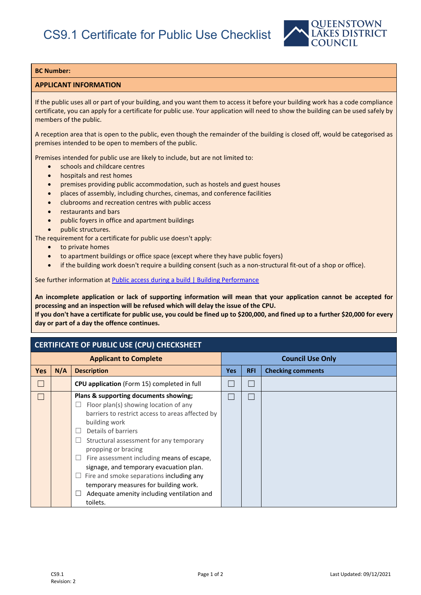

## **BC Number:**

## **APPLICANT INFORMATION**

If the public uses all or part of your building, and you want them to access it before your building work has a code compliance certificate, you can apply for a certificate for public use. Your application will need to show the building can be used safely by members of the public.

A reception area that is open to the public, even though the remainder of the building is closed off, would be categorised as premises intended to be open to members of the public.

Premises intended for public use are likely to include, but are not limited to:

- schools and childcare centres
- hospitals and rest homes
- premises providing public accommodation, such as hostels and guest houses
- places of assembly, including churches, cinemas, and conference facilities
- clubrooms and recreation centres with public access
- restaurants and bars
- public foyers in office and apartment buildings
- public structures.

The requirement for a certificate for public use doesn't apply:

- to private homes
- to apartment buildings or office space (except where they have public foyers)
- if the building work doesn't require a building consent (such as a non-structural fit-out of a shop or office).

See further information a[t Public access during a build | Building Performance](https://www.building.govt.nz/projects-and-consents/build-to-the-consent/public-access-while-building-or-altering-a-public-building/)

**An incomplete application or lack of supporting information will mean that your application cannot be accepted for processing and an inspection will be refused which will delay the issue of the CPU.**

**If you don't have a certificate for public use, you could be fined up to \$200,000, and fined up to a further \$20,000 for every day or part of a day the offence continues.**

## **CERTIFICATE OF PUBLIC USE (CPU) CHECKSHEET**

| <b>Applicant to Complete</b> |     |                                                                                                                                                                                                                                                                                                                                                                                                                                                                                      | <b>Council Use Only</b> |            |                          |
|------------------------------|-----|--------------------------------------------------------------------------------------------------------------------------------------------------------------------------------------------------------------------------------------------------------------------------------------------------------------------------------------------------------------------------------------------------------------------------------------------------------------------------------------|-------------------------|------------|--------------------------|
| <b>Yes</b>                   | N/A | <b>Description</b>                                                                                                                                                                                                                                                                                                                                                                                                                                                                   | <b>Yes</b>              | <b>RFI</b> | <b>Checking comments</b> |
|                              |     | CPU application (Form 15) completed in full                                                                                                                                                                                                                                                                                                                                                                                                                                          |                         |            |                          |
|                              |     | Plans & supporting documents showing;<br>Floor plan(s) showing location of any<br>barriers to restrict access to areas affected by<br>building work<br>Details of barriers<br>Structural assessment for any temporary<br>propping or bracing<br>Fire assessment including means of escape,<br>signage, and temporary evacuation plan.<br>Fire and smoke separations including any<br>temporary measures for building work.<br>Adequate amenity including ventilation and<br>toilets. |                         |            |                          |